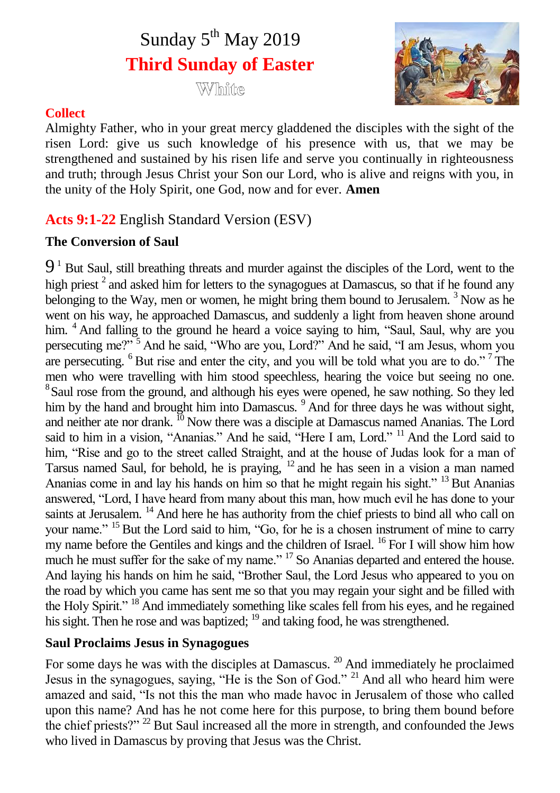# Sunday 5<sup>th</sup> May 2019 **Third Sunday of Easter**

WVIhinne



## **Collect**

Almighty Father, who in your great mercy gladdened the disciples with the sight of the risen Lord: give us such knowledge of his presence with us, that we may be strengthened and sustained by his risen life and serve you continually in righteousness and truth; through Jesus Christ your Son our Lord, who is alive and reigns with you, in the unity of the Holy Spirit, one God, now and for ever. **Amen**

## **Acts 9:1-22** English Standard Version (ESV)

## **The Conversion of Saul**

 $9<sup>1</sup>$  But Saul, still breathing threats and murder against the disciples of the Lord, went to the high priest<sup>2</sup> and asked him for letters to the synagogues at Damascus, so that if he found any belonging to the Way, men or women, he might bring them bound to Jerusalem.<sup>3</sup> Now as he went on his way, he approached Damascus, and suddenly a light from heaven shone around him. <sup>4</sup> And falling to the ground he heard a voice saying to him, "Saul, Saul, why are you persecuting me?" <sup>5</sup> And he said, "Who are you, Lord?" And he said, "I am Jesus, whom you are persecuting.  $6$  But rise and enter the city, and you will be told what you are to do." The men who were travelling with him stood speechless, hearing the voice but seeing no one. <sup>8</sup> Saul rose from the ground, and although his eyes were opened, he saw nothing. So they led him by the hand and brought him into Damascus. <sup>9</sup> And for three days he was without sight, and neither ate nor drank. <sup>10</sup> Now there was a disciple at Damascus named Ananias. The Lord said to him in a vision, "Ananias." And he said, "Here I am, Lord." <sup>11</sup> And the Lord said to him, "Rise and go to the street called Straight, and at the house of Judas look for a man of Tarsus named Saul, for behold, he is praying, <sup>12</sup> and he has seen in a vision a man named Ananias come in and lay his hands on him so that he might regain his sight." <sup>13</sup> But Ananias answered, "Lord, I have heard from many about this man, how much evil he has done to your saints at Jerusalem. <sup>14</sup> And here he has authority from the chief priests to bind all who call on your name." <sup>15</sup> But the Lord said to him, "Go, for he is a chosen instrument of mine to carry my name before the Gentiles and kings and the children of Israel. <sup>16</sup> For I will show him how much he must suffer for the sake of my name." <sup>17</sup> So Ananias departed and entered the house. And laying his hands on him he said, "Brother Saul, the Lord Jesus who appeared to you on the road by which you came has sent me so that you may regain your sight and be filled with the Holy Spirit." <sup>18</sup> And immediately something like scales fell from his eyes, and he regained his sight. Then he rose and was baptized; <sup>19</sup> and taking food, he was strengthened.

## **Saul Proclaims Jesus in Synagogues**

For some days he was with the disciples at Damascus.<sup>20</sup> And immediately he proclaimed Jesus in the synagogues, saying, "He is the Son of God." <sup>21</sup> And all who heard him were amazed and said, "Is not this the man who made havoc in Jerusalem of those who called upon this name? And has he not come here for this purpose, to bring them bound before the chief priests?" <sup>22</sup> But Saul increased all the more in strength, and confounded the Jews who lived in Damascus by proving that Jesus was the Christ.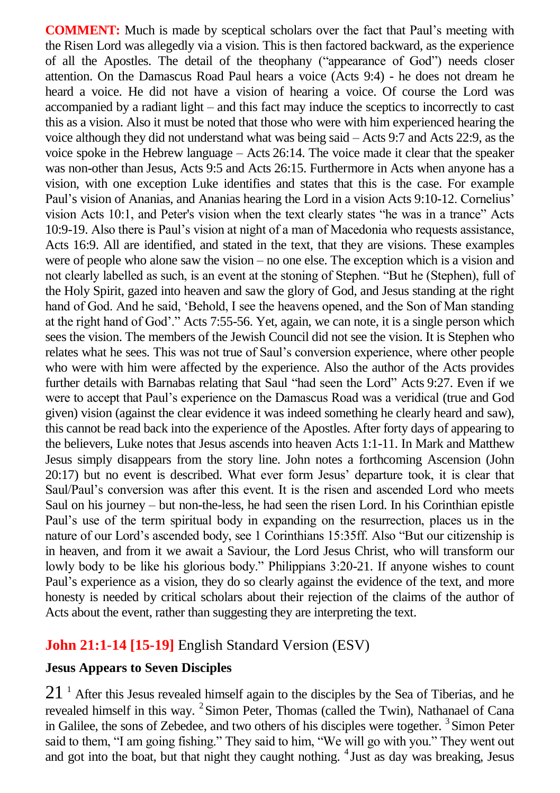**COMMENT:** Much is made by sceptical scholars over the fact that Paul's meeting with the Risen Lord was allegedly via a vision. This is then factored backward, as the experience of all the Apostles. The detail of the theophany ("appearance of God") needs closer attention. On the Damascus Road Paul hears a voice (Acts 9:4) - he does not dream he heard a voice. He did not have a vision of hearing a voice. Of course the Lord was accompanied by a radiant light – and this fact may induce the sceptics to incorrectly to cast this as a vision. Also it must be noted that those who were with him experienced hearing the voice although they did not understand what was being said – Acts 9:7 and Acts 22:9, as the voice spoke in the Hebrew language – Acts 26:14. The voice made it clear that the speaker was non-other than Jesus, Acts 9:5 and Acts 26:15. Furthermore in Acts when anyone has a vision, with one exception Luke identifies and states that this is the case. For example Paul's vision of Ananias, and Ananias hearing the Lord in a vision Acts 9:10-12. Cornelius' vision Acts 10:1, and Peter's vision when the text clearly states "he was in a trance" Acts 10:9-19. Also there is Paul's vision at night of a man of Macedonia who requests assistance, Acts 16:9. All are identified, and stated in the text, that they are visions. These examples were of people who alone saw the vision – no one else. The exception which is a vision and not clearly labelled as such, is an event at the stoning of Stephen. "But he (Stephen), full of the Holy Spirit, gazed into heaven and saw the glory of God, and Jesus standing at the right hand of God. And he said, 'Behold, I see the heavens opened, and the Son of Man standing at the right hand of God'." Acts 7:55-56. Yet, again, we can note, it is a single person which sees the vision. The members of the Jewish Council did not see the vision. It is Stephen who relates what he sees. This was not true of Saul's conversion experience, where other people who were with him were affected by the experience. Also the author of the Acts provides further details with Barnabas relating that Saul "had seen the Lord" Acts 9:27. Even if we were to accept that Paul's experience on the Damascus Road was a veridical (true and God given) vision (against the clear evidence it was indeed something he clearly heard and saw), this cannot be read back into the experience of the Apostles. After forty days of appearing to the believers, Luke notes that Jesus ascends into heaven Acts 1:1-11. In Mark and Matthew Jesus simply disappears from the story line. John notes a forthcoming Ascension (John 20:17) but no event is described. What ever form Jesus' departure took, it is clear that Saul/Paul's conversion was after this event. It is the risen and ascended Lord who meets Saul on his journey – but non-the-less, he had seen the risen Lord. In his Corinthian epistle Paul's use of the term spiritual body in expanding on the resurrection, places us in the nature of our Lord's ascended body, see 1 Corinthians 15:35ff. Also "But our citizenship is in heaven, and from it we await a Saviour, the Lord Jesus Christ, who will transform our lowly body to be like his glorious body." Philippians 3:20-21. If anyone wishes to count Paul's experience as a vision, they do so clearly against the evidence of the text, and more honesty is needed by critical scholars about their rejection of the claims of the author of Acts about the event, rather than suggesting they are interpreting the text.

## **John 21:1-14 [15-19]** English Standard Version (ESV)

#### **Jesus Appears to Seven Disciples**

 $21<sup>1</sup>$  After this Jesus revealed himself again to the disciples by the Sea of Tiberias, and he revealed himself in this way. <sup>2</sup> Simon Peter, Thomas (called the Twin), Nathanael of Cana in Galilee, the sons of Zebedee, and two others of his disciples were together.<sup>3</sup> Simon Peter said to them, "I am going fishing." They said to him, "We will go with you." They went out and got into the boat, but that night they caught nothing. <sup>4</sup> Just as day was breaking, Jesus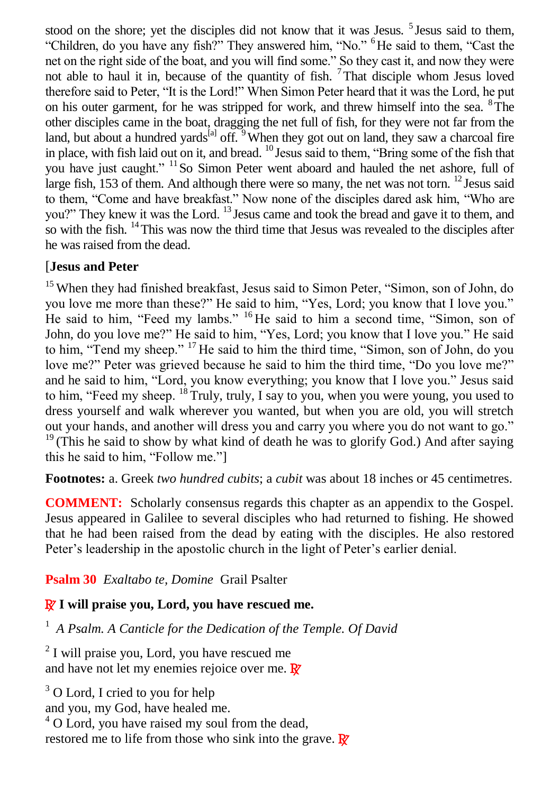stood on the shore; yet the disciples did not know that it was Jesus. <sup>5</sup> Jesus said to them, "Children, do you have any fish?" They answered him, "No." <sup>6</sup>He said to them, "Cast the net on the right side of the boat, and you will find some." So they cast it, and now they were not able to haul it in, because of the quantity of fish. <sup>7</sup>That disciple whom Jesus loved therefore said to Peter, "It is the Lord!" When Simon Peter heard that it was the Lord, he put on his outer garment, for he was stripped for work, and threw himself into the sea.  $8$ The other disciples came in the boat, dragging the net full of fish, for they were not far from the land, but about a hundred yards<sup>[a]</sup> off.  $9$ When they got out on land, they saw a charcoal fire in place, with fish laid out on it, and bread. <sup>10</sup> Jesus said to them, "Bring some of the fish that you have just caught." <sup>11</sup>So Simon Peter went aboard and hauled the net ashore, full of large fish, 153 of them. And although there were so many, the net was not torn. <sup>12</sup> Jesus said to them, "Come and have breakfast." Now none of the disciples dared ask him, "Who are you?" They knew it was the Lord. <sup>13</sup> Jesus came and took the bread and gave it to them, and so with the fish.  $\frac{14}{11}$ This was now the third time that Jesus was revealed to the disciples after he was raised from the dead.

## [**Jesus and Peter**

<sup>15</sup> When they had finished breakfast, Jesus said to Simon Peter, "Simon, son of John, do you love me more than these?" He said to him, "Yes, Lord; you know that I love you." He said to him, "Feed my lambs." <sup>16</sup> He said to him a second time, "Simon, son of John, do you love me?" He said to him, "Yes, Lord; you know that I love you." He said to him, "Tend my sheep." <sup>17</sup> He said to him the third time, "Simon, son of John, do you love me?" Peter was grieved because he said to him the third time, "Do you love me?" and he said to him, "Lord, you know everything; you know that I love you." Jesus said to him, "Feed my sheep. <sup>18</sup> Truly, truly, I say to you, when you were young, you used to dress yourself and walk wherever you wanted, but when you are old, you will stretch out your hands, and another will dress you and carry you where you do not want to go."  $19$ <sup>19</sup> (This he said to show by what kind of death he was to glorify God.) And after saying this he said to him, "Follow me."]

**Footnotes:** a. Greek *two hundred cubits*; a *cubit* was about 18 inches or 45 centimetres.

**COMMENT:** Scholarly consensus regards this chapter as an appendix to the Gospel. Jesus appeared in Galilee to several disciples who had returned to fishing. He showed that he had been raised from the dead by eating with the disciples. He also restored Peter's leadership in the apostolic church in the light of Peter's earlier denial.

## **Psalm 30** *Exaltabo te, Domine* Grail Psalter

## R **I will praise you, Lord, you have rescued me.**

<sup>1</sup> *A Psalm. A Canticle for the Dedication of the Temple. Of David*

 $2<sup>2</sup>$  I will praise you, Lord, you have rescued me and have not let my enemies rejoice over me.  $\mathbb{R}^r$ 

<sup>3</sup> O Lord, I cried to you for help

and you, my God, have healed me.

<sup>4</sup> O Lord, you have raised my soul from the dead, restored me to life from those who sink into the grave.  $\mathbb{R}^7$